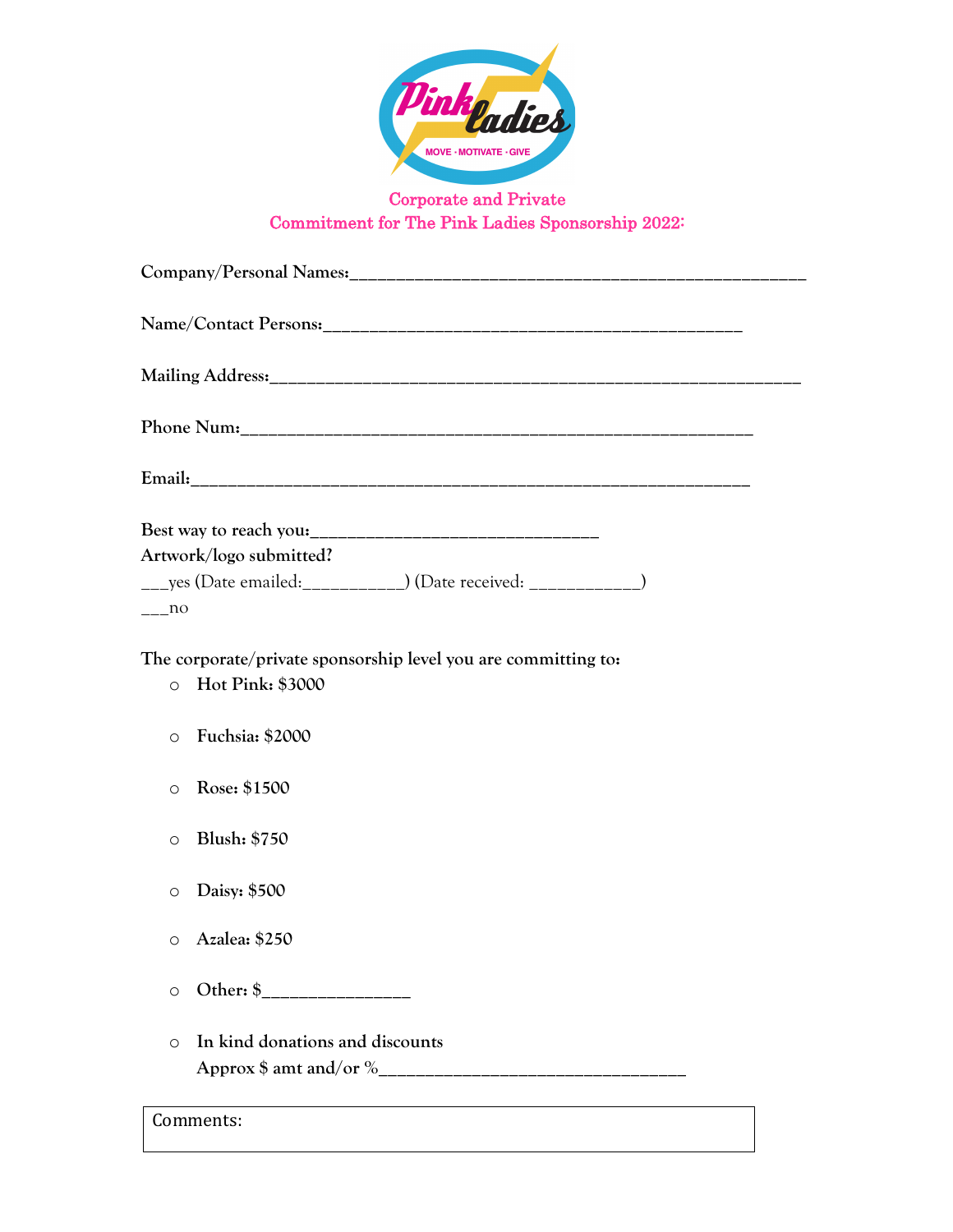

## Corporate and Private Commitment for The Pink Ladies Sponsorship 2022:

| Artwork/logo submitted?                                                                       |
|-----------------------------------------------------------------------------------------------|
| ____yes (Date emailed:____________) (Date received: _____________)                            |
| no                                                                                            |
| The corporate/private sponsorship level you are committing to:<br>Hot Pink: \$3000<br>$\circ$ |
| <b>Fuchsia: \$2000</b><br>$\circ$                                                             |
| Rose: \$1500<br>$\circ$                                                                       |
| <b>Blush: \$750</b><br>$\circ$                                                                |
| Daisy: \$500<br>$\circ$                                                                       |
| Azalea: \$250<br>$\circ$                                                                      |
| $\circ$                                                                                       |
| In kind donations and discounts<br>$\circ$                                                    |

Comments: